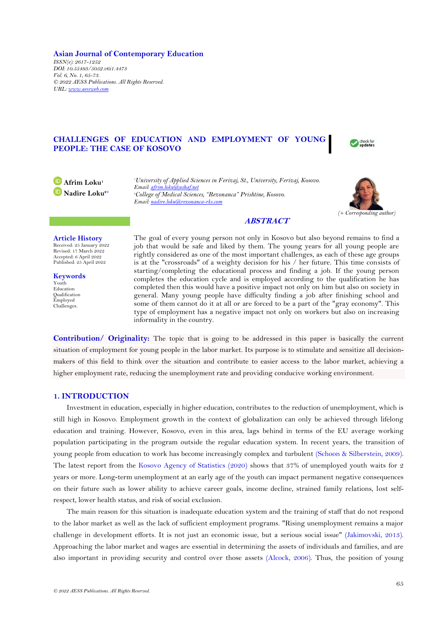**Asian Journal of Contemporary Education** *ISSN(e): 2617-1252 DOI: 10.55493/5052.v6i1.4473 Vol. 6, No. 1, 65-73. © 2022 AESS Publications. All Rights Reserved. URL: [www.aessweb.com](http://www.aessweb.com/)*

# **CHALLENGES OF EDUCATION AND EMPLOYMENT OF YOUNG PEOPLE: THE CASE OF KOSOVO**



**Afrim Loku<sup>1</sup> Nadire Loku2+** *<sup>1</sup>University of Applied Sciences in Ferizaj, St., University, Ferizaj, Kosovo. Email[: afrim.loku@ushaf.net](mailto:afrim.loku@ushaf.net) <sup>2</sup>College of Medical Sciences, "Rezonanca" Prishtine, Kosovo. Email[: nadire.loku@rezonanca-rks.com](mailto:nadire.loku@rezonanca-rks.com)*



# **ABSTRACT**

**Article History**

Received: 25 January 2022 Revised: 17 March 2022 Accepted: 6 April 2022 Published: 25 April 2022

**Keywords** Youth **Education** Qualification Employed Challenges.

The goal of every young person not only in Kosovo but also beyond remains to find a job that would be safe and liked by them. The young years for all young people are rightly considered as one of the most important challenges, as each of these age groups is at the "crossroads" of a weighty decision for his / her future. This time consists of starting/completing the educational process and finding a job. If the young person completes the education cycle and is employed according to the qualification he has completed then this would have a positive impact not only on him but also on society in general. Many young people have difficulty finding a job after finishing school and some of them cannot do it at all or are forced to be a part of the "gray economy". This type of employment has a negative impact not only on workers but also on increasing informality in the country.

**Contribution/ Originality:** The topic that is going to be addressed in this paper is basically the current situation of employment for young people in the labor market. Its purpose is to stimulate and sensitize all decisionmakers of this field to think over the situation and contribute to easier access to the labor market, achieving a higher employment rate, reducing the unemployment rate and providing conducive working environment.

# **1. INTRODUCTION**

Investment in education, especially in higher education, contributes to the reduction of unemployment, which is still high in Kosovo. Employment growth in the context of globalization can only be achieved through lifelong education and training. However, Kosovo, even in this area, lags behind in terms of the EU average working population participating in the program outside the regular education system. In recent years, the transition of young people from education to work has become increasingly complex and turbulent [\(Schoon & Silberstein, 2009\)](#page-8-0). The latest report from the [Kosovo Agency of Statistics \(2020\)](#page-8-1) shows that 37% of unemployed youth waits for 2 years or more. Long-term unemployment at an early age of the youth can impact permanent negative consequences on their future such as lower ability to achieve career goals, income decline, strained family relations, lost selfrespect, lower health status, and risk of social exclusion.

The main reason for this situation is inadequate education system and the training of staff that do not respond to the labor market as well as the lack of sufficient employment programs. "Rising unemployment remains a major challenge in development efforts. It is not just an economic issue, but a serious social issue" [\(Jakimovski,](#page-8-2) 2013). Approaching the labor market and wages are essential in determining the assets of individuals and families, and are also important in providing security and control over those assets [\(Alcock, 2006\)](#page-7-0). Thus, the position of young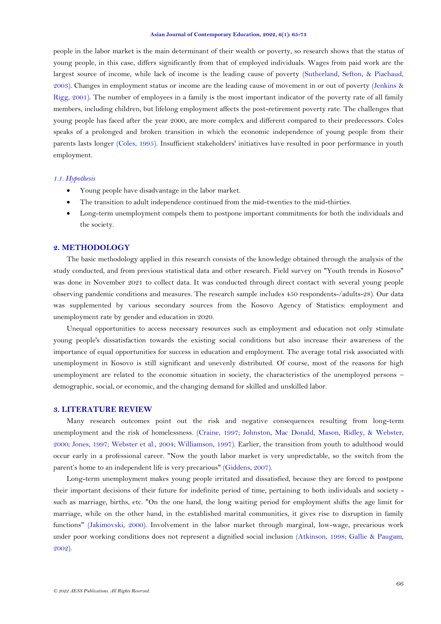people in the labor market is the main determinant of their wealth or poverty, so research shows that the status of young people, in this case, differs significantly from that of employed individuals. Wages from paid work are the largest source of income, while lack of income is the leading cause of poverty [\(Sutherland, Sefton, & Piachaud,](#page-8-3)  [2003\)](#page-8-3). Changes in employment status or income are the leading cause of movement in or out of poverty [\(Jenkins &](#page-8-4)  [Rigg, 2001\)](#page-8-4). The number of employees in a family is the most important indicator of the poverty rate of all family members, including children, but lifelong employment affects the post-retirement poverty rate. The challenges that young people has faced after the year 2000, are more complex and different compared to their predecessors. Coles speaks of a prolonged and broken transition in which the economic independence of young people from their parents lasts longer [\(Coles, 1995\)](#page-7-1). Insufficient stakeholders' initiatives have resulted in poor performance in youth employment.

### *1.1. Hypothesis*

- Young people have disadvantage in the labor market.
- The transition to adult independence continued from the mid-twenties to the mid-thirties.
- Long-term unemployment compels them to postpone important commitments for both the individuals and the society.

## **2. METHODOLOGY**

The basic methodology applied in this research consists of the knowledge obtained through the analysis of the study conducted, and from previous statistical data and other research. Field survey on "Youth trends in Kosovo" was done in November 2021 to collect data. It was conducted through direct contact with several young people observing pandemic conditions and measures. The research sample includes 450 respondents-/adults-28). Our data was supplemented by various secondary sources from the Kosovo Agency of Statistics: employment and unemployment rate by gender and education in 2020.

Unequal opportunities to access necessary resources such as employment and education not only stimulate young people's dissatisfaction towards the existing social conditions but also increase their awareness of the importance of equal opportunities for success in education and employment. The average total risk associated with unemployment in Kosovo is still significant and unevenly distributed. Of course, most of the reasons for high unemployment are related to the economic situation in society, the characteristics of the unemployed persons – demographic, social, or economic, and the changing demand for skilled and unskilled labor.

## **3. LITERATURE REVIEW**

Many research outcomes point out the risk and negative consequences resulting from long-term unemployment and the risk of homelessness. [\(Craine, 1997;](#page-7-2) [Johnston, Mac Donald, Mason, Ridley, & Webster,](#page-8-5)  [2000;](#page-8-5) [Jones, 1997;](#page-8-6) [Webster et al., 2004;](#page-8-7) [Williamson, 1997\)](#page-8-8). Earlier, the transition from youth to adulthood would occur early in a professional career. "Now the youth labor market is very unpredictable, so the switch from the parent's home to an independent life is very precarious" [\(Giddens, 2007\)](#page-8-9).

Long-term unemployment makes young people irritated and dissatisfied, because they are forced to postpone their important decisions of their future for indefinite period of time, pertaining to both individuals and society such as marriage, births, etc. "On the one hand, the long waiting period for employment shifts the age limit for marriage, while on the other hand, in the established marital communities, it gives rise to disruption in family functions" [\(Jakimovski, 2000\)](#page-8-10). Involvement in the labor market through marginal, low-wage, precarious work under poor working conditions does not represent a dignified social inclusion [\(Atkinson, 1998;](#page-7-3) [Gallie & Paugam,](#page-8-11)  [2002\)](#page-8-11).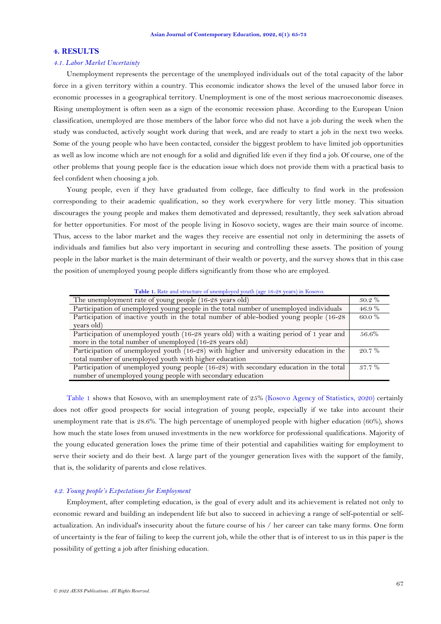### **4. RESULTS**

## *4.1. Labor Market Uncertainty*

Unemployment represents the percentage of the unemployed individuals out of the total capacity of the labor force in a given territory within a country. This economic indicator shows the level of the unused labor force in economic processes in a geographical territory. Unemployment is one of the most serious macroeconomic diseases. Rising unemployment is often seen as a sign of the economic recession phase. According to the European Union classification, unemployed are those members of the labor force who did not have a job during the week when the study was conducted, actively sought work during that week, and are ready to start a job in the next two weeks. Some of the young people who have been contacted, consider the biggest problem to have limited job opportunities as well as low income which are not enough for a solid and dignified life even if they find a job. Of course, one of the other problems that young people face is the education issue which does not provide them with a practical basis to feel confident when choosing a job.

Young people, even if they have graduated from college, face difficulty to find work in the profession corresponding to their academic qualification, so they work everywhere for very little money. This situation discourages the young people and makes them demotivated and depressed; resultantly, they seek salvation abroad for better opportunities. For most of the people living in Kosovo society, wages are their main source of income. Thus, access to the labor market and the wages they receive are essential not only in determining the assets of individuals and families but also very important in securing and controlling these assets. The position of young people in the labor market is the main determinant of their wealth or poverty, and the survey shows that in this case the position of unemployed young people differs significantly from those who are employed.

<span id="page-2-0"></span>**Table 1.** Rate and structure of unemployed youth (age 16-28 years) in Kosovo.

| The unemployment rate of young people (16-28 years old)                                 | $30.2\%$ |
|-----------------------------------------------------------------------------------------|----------|
| Participation of unemployed young people in the total number of unemployed individuals  | 46.9%    |
| Participation of inactive youth in the total number of able-bodied young people (16-28) | 60.0 %   |
| years old)                                                                              |          |
| Participation of unemployed youth (16-28 years old) with a waiting period of 1 year and | 56.6%    |
| more in the total number of unemployed (16-28 years old)                                |          |
| Participation of unemployed youth (16-28) with higher and university education in the   | $20.7\%$ |
| total number of unemployed youth with higher education                                  |          |
| Participation of unemployed young people (16-28) with secondary education in the total  | $37.7\%$ |
| number of unemployed young people with secondary education                              |          |
|                                                                                         |          |

[Table 1](#page-2-0) shows that Kosovo, with an unemployment rate of 25% [\(Kosovo Agency of Statistics, 2020\)](#page-8-1) certainly does not offer good prospects for social integration of young people, especially if we take into account their unemployment rate that is 28.6%. The high percentage of unemployed people with higher education (60%), shows how much the state loses from unused investments in the new workforce for professional qualifications. Majority of the young educated generation loses the prime time of their potential and capabilities waiting for employment to serve their society and do their best. A large part of the younger generation lives with the support of the family, that is, the solidarity of parents and close relatives.

# *4.2. Young people's Expectations for Employment*

Employment, after completing education, is the goal of every adult and its achievement is related not only to economic reward and building an independent life but also to succeed in achieving a range of self-potential or selfactualization. An individual's insecurity about the future course of his / her career can take many forms. One form of uncertainty is the fear of failing to keep the current job, while the other that is of interest to us in this paper is the possibility of getting a job after finishing education.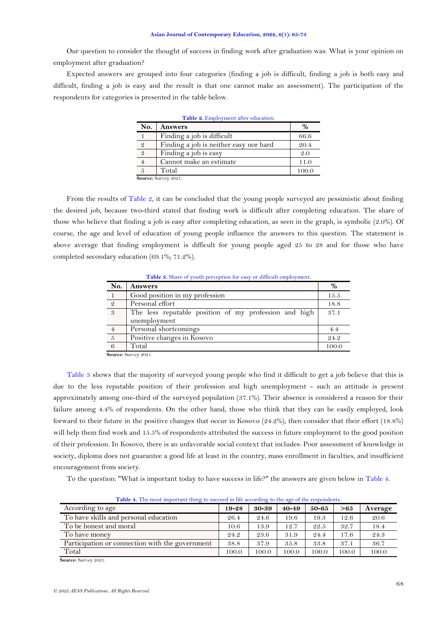#### **Asian Journal of Contemporary Education, 2022, 6(1): 65-73**

Our question to consider the thought of success in finding work after graduation was: What is your opinion on employment after graduation?

Expected answers are grouped into four categories (finding a job is difficult, finding a job is both easy and difficult, finding a job is easy and the result is that one cannot make an assessment). The participation of the respondents for categories is presented in the table below.

<span id="page-3-0"></span>

| Table 2. Employment after education. |                                        |       |  |  |
|--------------------------------------|----------------------------------------|-------|--|--|
| No.                                  | <b>Answers</b>                         | $\%$  |  |  |
|                                      | Finding a job is difficult             | 66.6  |  |  |
| 2                                    | Finding a job is neither easy nor hard | 20.4  |  |  |
| 3                                    | Finding a job is easy                  | 2.0   |  |  |
| $\overline{4}$                       | Cannot make an estimate                | 11.0  |  |  |
|                                      | Total                                  | 100.0 |  |  |
|                                      | Source: Survey 2021.                   |       |  |  |

**Source:** Survey 2021.

From the results of [Table 2,](#page-3-0) it can be concluded that the young people surveyed are pessimistic about finding the desired job, because two-third stated that finding work is difficult after completing education. The share of those who believe that finding a job is easy after completing education, as seen in the graph, is symbolic (2.0%). Of course, the age and level of education of young people influence the answers to this question. The statement is above average that finding employment is difficult for young people aged 25 to 28 and for those who have completed secondary education (69.1%; 71.2%).

**Table 3.** Share of youth perception for easy or difficult employment.

<span id="page-3-1"></span>

| No.            | <b>Answers</b>                                        | %     |
|----------------|-------------------------------------------------------|-------|
| $\overline{1}$ | Good position in my profession                        | 15.5  |
| $\frac{2}{3}$  | Personal effort                                       | 18.8  |
|                | The less reputable position of my profession and high | 37.1  |
|                | unemployment                                          |       |
| $\overline{4}$ | Personal shortcomings                                 | 4.4   |
| $\sqrt{5}$     | Positive changes in Kosovo                            | 24.2  |
| 6              | Total                                                 | 100.0 |
|                | $C_{\text{OIPROO}}$ , $C_{\text{HIPUON}}$ $QQQ1$      |       |

**Source:** Survey 2021.

[Table 3](#page-3-1) shows that the majority of surveyed young people who find it difficult to get a job believe that this is due to the less reputable position of their profession and high unemployment - such an attitude is present approximately among one-third of the surveyed population (37.1%). Their absence is considered a reason for their failure among 4.4% of respondents. On the other hand, those who think that they can be easily employed, look forward to their future in the positive changes that occur in Kosovo (24.2%), then consider that their effort (18.8%) will help them find work and 15.5% of respondents attributed the success in future employment to the good position of their profession. In Kosovo, there is an unfavorable social context that includes: Poor assessment of knowledge in society, diploma does not guarantee a good life at least in the country, mass enrollment in faculties, and insufficient encouragement from society.

To the question: "What is important today to have success in life?" the answers are given below i[n Table 4.](#page-3-2)

<span id="page-3-2"></span>

| <b>Table F.</b> The most important time to succeed in the according to the age of the respondents. |           |           |           |           |       |         |
|----------------------------------------------------------------------------------------------------|-----------|-----------|-----------|-----------|-------|---------|
| According to age                                                                                   | $19 - 28$ | $30 - 39$ | $40 - 49$ | $50 - 65$ | >65   | Average |
| To have skills and personal education                                                              | 26.4      | 24.6      | 19.6      | 19.3      | 12.6  | 20.6    |
| To be honest and moral                                                                             | 10.6      | 13.9      | 12.7      | 22.5      | 32.7  | 18.4    |
| To have money                                                                                      | 24.2      | 23.6      | 31.9      | 24.4      | 17.6  | 24.3    |
| Participation or connection with the government                                                    | 38.8      | 37.9      | 35.8      | 33.8      | 37.1  | 36.7    |
| Total                                                                                              | 100.0     | 100.0     | 100.0     | 100.0     | 100.0 | 100.0   |
|                                                                                                    |           |           |           |           |       |         |

**Table 4.** The most important thing to succeed in life according to the age of the respondents.

**Source:** Survey 2021.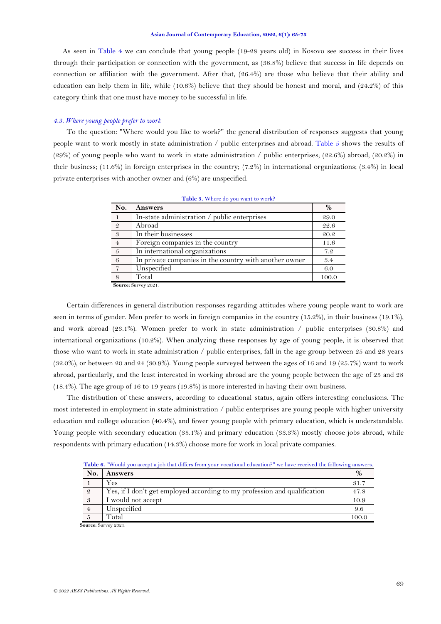#### **Asian Journal of Contemporary Education, 2022, 6(1): 65-73**

 As seen in Table 4 we can conclude that young people (19-28 years old) in Kosovo see success in their lives through their participation or connection with the government, as (38.8%) believe that success in life depends on connection or affiliation with the government. After that, (26.4%) are those who believe that their ability and education can help them in life, while (10.6%) believe that they should be honest and moral, and (24.2%) of this category think that one must have money to be successful in life.

## *4.3. Where young people prefer to work*

To the question: "Where would you like to work?" the general distribution of responses suggests that young people want to work mostly in state administration / public enterprises and abroad. [Table 5](#page-4-0) shows the results of (29%) of young people who want to work in state administration / public enterprises; (22.6%) abroad; (20.2%) in their business; (11.6%) in foreign enterprises in the country; (7.2%) in international organizations; (3.4%) in local private enterprises with another owner and (6%) are unspecified.

| No.            | <b>Answers</b>                                         | %     |
|----------------|--------------------------------------------------------|-------|
|                | In-state administration / public enterprises           | 29.0  |
| - 2            | Abroad                                                 | 22.6  |
| - 3            | In their businesses                                    | 20.2  |
| $\overline{4}$ | Foreign companies in the country                       | 11.6  |
| $\overline{5}$ | In international organizations                         | 7.2   |
| 6              | In private companies in the country with another owner | 3.4   |
|                | Unspecified                                            | 6.0   |
|                | Total                                                  | 100.0 |

<span id="page-4-0"></span>

**Source:** Survey 2021.

Certain differences in general distribution responses regarding attitudes where young people want to work are seen in terms of gender. Men prefer to work in foreign companies in the country (15.2%), in their business (19.1%), and work abroad (23.1%). Women prefer to work in state administration / public enterprises (30.8%) and international organizations (10.2%). When analyzing these responses by age of young people, it is observed that those who want to work in state administration / public enterprises, fall in the age group between 25 and 28 years (32.0%), or between 20 and 24 (30.9%). Young people surveyed between the ages of 16 and 19 (25.7%) want to work abroad, particularly, and the least interested in working abroad are the young people between the age of 25 and 28 (18.4%). The age group of 16 to 19 years (19.8%) is more interested in having their own business.

The distribution of these answers, according to educational status, again offers interesting conclusions. The most interested in employment in state administration / public enterprises are young people with higher university education and college education (40.4%), and fewer young people with primary education, which is understandable. Young people with secondary education (35.1%) and primary education (33.3%) mostly choose jobs abroad, while respondents with primary education (14.3%) choose more for work in local private companies.

<span id="page-4-1"></span>

| No.            | Answers                                                                   | %     |
|----------------|---------------------------------------------------------------------------|-------|
|                | Yes                                                                       | 31.7  |
| $\overline{2}$ | Yes, if I don't get employed according to my profession and qualification | 47.8  |
| 3              | I would not accept                                                        | 10.9  |
| $\overline{4}$ | Unspecified                                                               | 9.6   |
|                | Total                                                                     | 100.0 |
|                | Source: Survey 2021.                                                      |       |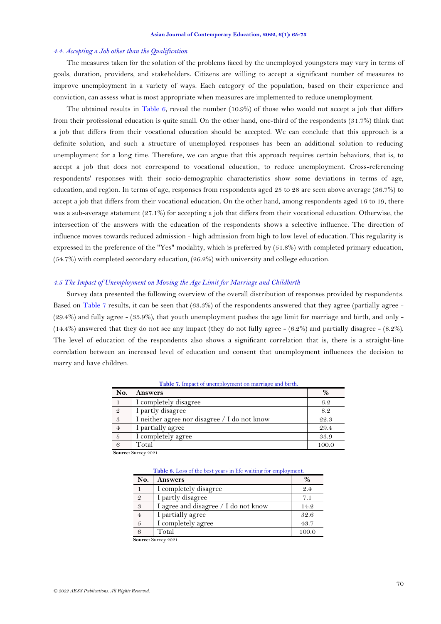### *4.4. Accepting a Job other than the Qualification*

The measures taken for the solution of the problems faced by the unemployed youngsters may vary in terms of goals, duration, providers, and stakeholders. Citizens are willing to accept a significant number of measures to improve unemployment in a variety of ways. Each category of the population, based on their experience and conviction, can assess what is most appropriate when measures are implemented to reduce unemployment.

The obtained results in [Table 6,](#page-4-1) reveal the number  $(10.9\%)$  of those who would not accept a job that differs from their professional education is quite small. On the other hand, one-third of the respondents (31.7%) think that a job that differs from their vocational education should be accepted. We can conclude that this approach is a definite solution, and such a structure of unemployed responses has been an additional solution to reducing unemployment for a long time. Therefore, we can argue that this approach requires certain behaviors, that is, to accept a job that does not correspond to vocational education, to reduce unemployment. Cross-referencing respondents' responses with their socio-demographic characteristics show some deviations in terms of age, education, and region. In terms of age, responses from respondents aged 25 to 28 are seen above average (36.7%) to accept a job that differs from their vocational education. On the other hand, among respondents aged 16 to 19, there was a sub-average statement (27.1%) for accepting a job that differs from their vocational education. Otherwise, the intersection of the answers with the education of the respondents shows a selective influence. The direction of influence moves towards reduced admission - high admission from high to low level of education. This regularity is expressed in the preference of the "Yes" modality, which is preferred by (51.8%) with completed primary education, (54.7%) with completed secondary education, (26.2%) with university and college education.

### *4.5 The Impact of Unemployment on Moving the Age Limit for Marriage and Childbirth*

Survey data presented the following overview of the overall distribution of responses provided by respondents. Based on [Table 7](#page-5-0) results, it can be seen that (63.3%) of the respondents answered that they agree (partially agree - (29.4%) and fully agree - (33.9%), that youth unemployment pushes the age limit for marriage and birth, and only - (14.4%) answered that they do not see any impact (they do not fully agree - (6.2%) and partially disagree - (8.2%). The level of education of the respondents also shows a significant correlation that is, there is a straight-line correlation between an increased level of education and consent that unemployment influences the decision to marry and have children.

<span id="page-5-0"></span>

| No.            | <b>Answers</b>                               | $\%$  |
|----------------|----------------------------------------------|-------|
|                | I completely disagree                        | 6.2   |
| 2              | I partly disagree                            | 8.2   |
| 3              | I neither agree nor disagree / I do not know | 22.3  |
| $\overline{4}$ | partially agree                              | 29.4  |
|                | I completely agree                           | 33.9  |
|                | Total                                        | 100.0 |

**Table 7.** Impact of unemployment on marriage and birth.

<span id="page-5-1"></span>**Source:** Survey 2021.

| <b>Table 8.</b> Loss of the best years in life waiting for employment. |  |  |
|------------------------------------------------------------------------|--|--|
|------------------------------------------------------------------------|--|--|

| No.            | <b>Answers</b>                       | $\frac{0}{0}$ |
|----------------|--------------------------------------|---------------|
|                | I completely disagree                | 9.4           |
| $\mathfrak{D}$ | I partly disagree                    | 7.1           |
| 3              | I agree and disagree / I do not know | 14.2          |
| $\overline{4}$ | I partially agree                    | 32.6          |
| $\overline{5}$ | I completely agree                   | 43.7          |
| 6              | Total                                | 100.0         |

**Source:** Survey 2021.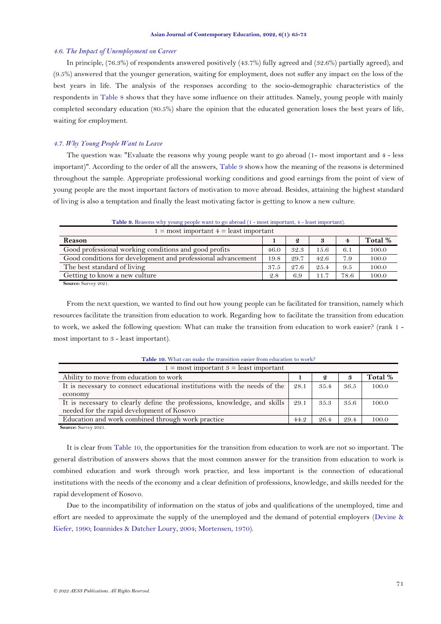### *4.6. The Impact of Unemployment on Career*

In principle, (76.3%) of respondents answered positively (43.7%) fully agreed and (32.6%) partially agreed), and (9.5%) answered that the younger generation, waiting for employment, does not suffer any impact on the loss of the best years in life. The analysis of the responses according to the socio-demographic characteristics of the respondents in [Table 8](#page-5-1) shows that they have some influence on their attitudes. Namely, young people with mainly completed secondary education (80.5%) share the opinion that the educated generation loses the best years of life, waiting for employment.

# *4.7. Why Young People Want to Leave*

The question was: "Evaluate the reasons why young people want to go abroad (1- most important and 4 - less important)". According to the order of all the answers, [Table 9](#page-6-0) shows how the meaning of the reasons is determined throughout the sample. Appropriate professional working conditions and good earnings from the point of view of young people are the most important factors of motivation to move abroad. Besides, attaining the highest standard of living is also a temptation and finally the least motivating factor is getting to know a new culture.

<span id="page-6-0"></span>

| $1 = \text{most important } 4 = \text{least important}$      |      |                  |      |                         |         |
|--------------------------------------------------------------|------|------------------|------|-------------------------|---------|
| Reason                                                       |      | $\boldsymbol{2}$ |      | $\overline{\mathbf{4}}$ | Total % |
| Good professional working conditions and good profits        | 46.0 | 32.3             | 15.6 | 6.1                     | 100.0   |
| Good conditions for development and professional advancement | 19.8 | 29.7             | 42.6 | 7.9                     | 100.0   |
| The best standard of living                                  | 37.5 | 27.6             | 25.4 | 9.5                     | 100.0   |
| Getting to know a new culture                                | 2.8  | 6.9              | 11.7 | 78.6                    | 100.0   |

**Table 9.** Reasons why young people want to go abroad (1 - most important, 4 - least important).

**Source:** Survey 2021.

From the next question, we wanted to find out how young people can be facilitated for transition, namely which resources facilitate the transition from education to work. Regarding how to facilitate the transition from education to work, we asked the following question: What can make the transition from education to work easier? (rank 1 most important to 3 - least important).

<span id="page-6-1"></span>

| $1 = \text{most important } 3 = \text{least important}$                   |      |      |      |         |
|---------------------------------------------------------------------------|------|------|------|---------|
| Ability to move from education to work                                    |      | 2    | 3    | Total % |
| It is necessary to connect educational institutions with the needs of the | 28.1 | 35.4 | 36.5 | 100.0   |
| economy                                                                   |      |      |      |         |
| It is necessary to clearly define the professions, knowledge, and skills  | 29.1 | 35.3 | 35.6 | 100.0   |
| needed for the rapid development of Kosovo                                |      |      |      |         |
| Education and work combined through work practice                         | 44.2 | 26.4 | 29.4 | 100.0   |

**Table 10.** What can make the transition easier from education to work?

**Source:** Survey 2021.

It is clear from [Table 10,](#page-6-1) the opportunities for the transition from education to work are not so important. The general distribution of answers shows that the most common answer for the transition from education to work is combined education and work through work practice, and less important is the connection of educational institutions with the needs of the economy and a clear definition of professions, knowledge, and skills needed for the rapid development of Kosovo.

Due to the incompatibility of information on the status of jobs and qualifications of the unemployed, time and effort are needed to approximate the supply of the unemployed and the demand of potential employers [\(Devine &](#page-7-4)  [Kiefer, 1990;](#page-7-4) [Ioannides & Datcher Loury, 2004;](#page-8-12) [Mortensen, 1970\)](#page-8-13).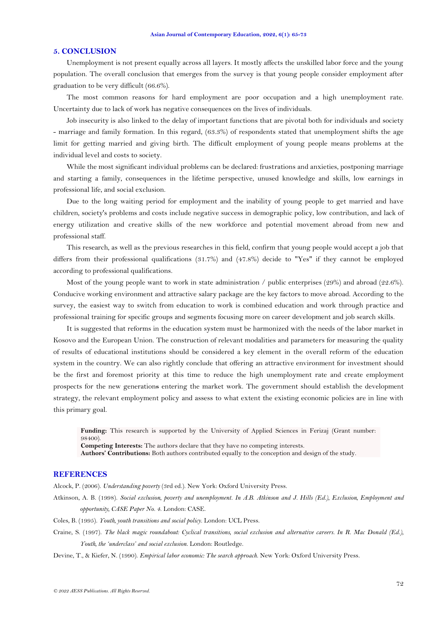### **5. CONCLUSION**

Unemployment is not present equally across all layers. It mostly affects the unskilled labor force and the young population. The overall conclusion that emerges from the survey is that young people consider employment after graduation to be very difficult (66.6%).

The most common reasons for hard employment are poor occupation and a high unemployment rate. Uncertainty due to lack of work has negative consequences on the lives of individuals.

Job insecurity is also linked to the delay of important functions that are pivotal both for individuals and society - marriage and family formation. In this regard, (63.3%) of respondents stated that unemployment shifts the age limit for getting married and giving birth. The difficult employment of young people means problems at the individual level and costs to society.

While the most significant individual problems can be declared: frustrations and anxieties, postponing marriage and starting a family, consequences in the lifetime perspective, unused knowledge and skills, low earnings in professional life, and social exclusion.

Due to the long waiting period for employment and the inability of young people to get married and have children, society's problems and costs include negative success in demographic policy, low contribution, and lack of energy utilization and creative skills of the new workforce and potential movement abroad from new and professional staff.

This research, as well as the previous researches in this field, confirm that young people would accept a job that differs from their professional qualifications (31.7%) and (47.8%) decide to "Yes" if they cannot be employed according to professional qualifications.

Most of the young people want to work in state administration / public enterprises  $(29%)$  and abroad  $(22.6%)$ . Conducive working environment and attractive salary package are the key factors to move abroad. According to the survey, the easiest way to switch from education to work is combined education and work through practice and professional training for specific groups and segments focusing more on career development and job search skills.

It is suggested that reforms in the education system must be harmonized with the needs of the labor market in Kosovo and the European Union. The construction of relevant modalities and parameters for measuring the quality of results of educational institutions should be considered a key element in the overall reform of the education system in the country. We can also rightly conclude that offering an attractive environment for investment should be the first and foremost priority at this time to reduce the high unemployment rate and create employment prospects for the new generations entering the market work. The government should establish the development strategy, the relevant employment policy and assess to what extent the existing economic policies are in line with this primary goal.

**Funding:** This research is supported by the University of Applied Sciences in Ferizaj (Grant number: 98400).

**Competing Interests:** The authors declare that they have no competing interests.

**Authors' Contributions:** Both authors contributed equally to the conception and design of the study.

# **REFERENCES**

<span id="page-7-0"></span>Alcock, P. (2006). *Understanding poverty* (3rd ed.). New York: Oxford University Press.

- <span id="page-7-3"></span>Atkinson, A. B. (1998). *Social exclusion, poverty and unemployment. In A.B. Atkinson and J. Hills (Ed.), Exclusion, Employment and opportunity, CASE Paper No. 4*. London: CASE.
- <span id="page-7-1"></span>Coles, B. (1995). *Youth, youth transitions and social policy*. London: UCL Press.
- <span id="page-7-2"></span>Craine, S. (1997). *The black magic roundabout: Cyclical transitions, social exclusion and alternative careers. In R. Mac Donald (Ed.), Youth, the 'underclass' and social exclusion*. London: Routledge.

<span id="page-7-4"></span>Devine, T., & Kiefer, N. (1990). *Empirical labor economic: The search approach*. New York: Oxford University Press.